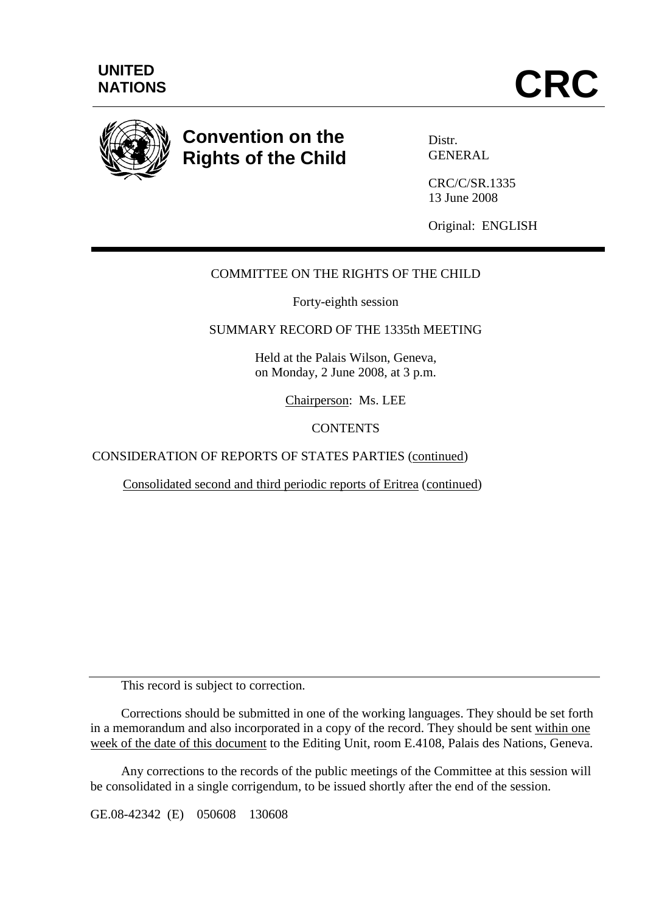

# **Convention on the Rights of the Child**

Distr. **GENERAL** 

CRC/C/SR.1335 13 June 2008

Original: ENGLISH

# COMMITTEE ON THE RIGHTS OF THE CHILD

Forty-eighth session

## SUMMARY RECORD OF THE 1335th MEETING

Held at the Palais Wilson, Geneva, on Monday, 2 June 2008, at 3 p.m.

Chairperson: Ms. LEE

#### **CONTENTS**

CONSIDERATION OF REPORTS OF STATES PARTIES (continued)

Consolidated second and third periodic reports of Eritrea (continued)

This record is subject to correction.

 Corrections should be submitted in one of the working languages. They should be set forth in a memorandum and also incorporated in a copy of the record. They should be sent within one week of the date of this document to the Editing Unit, room E.4108, Palais des Nations, Geneva.

 Any corrections to the records of the public meetings of the Committee at this session will be consolidated in a single corrigendum, to be issued shortly after the end of the session.

GE.08-42342 (E) 050608 130608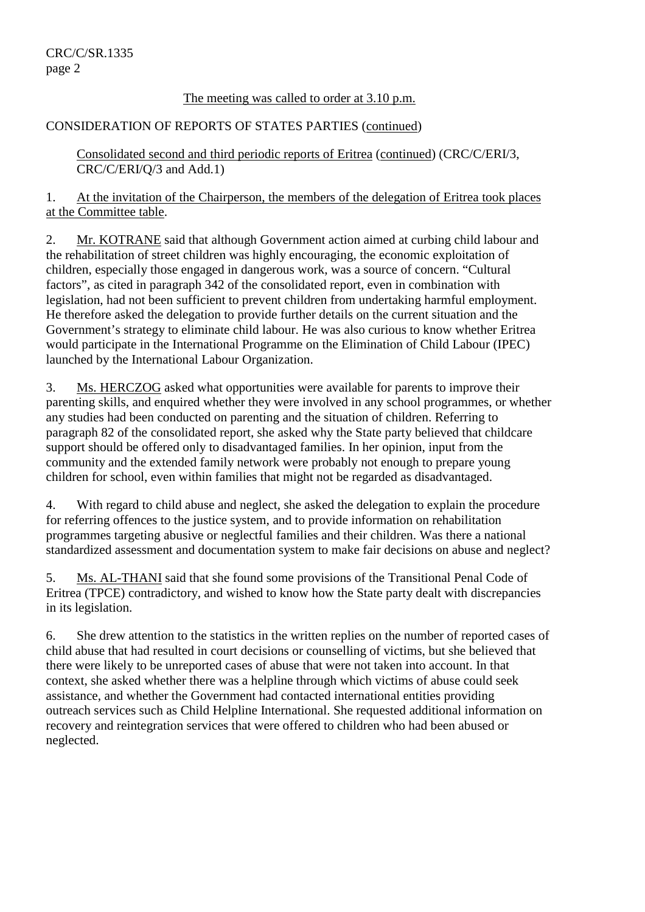# The meeting was called to order at 3.10 p.m.

# CONSIDERATION OF REPORTS OF STATES PARTIES (continued)

Consolidated second and third periodic reports of Eritrea (continued) (CRC/C/ERI/3, CRC/C/ERI/Q/3 and Add.1)

1. At the invitation of the Chairperson, the members of the delegation of Eritrea took places at the Committee table.

2. Mr. KOTRANE said that although Government action aimed at curbing child labour and the rehabilitation of street children was highly encouraging, the economic exploitation of children, especially those engaged in dangerous work, was a source of concern. "Cultural factors", as cited in paragraph 342 of the consolidated report, even in combination with legislation, had not been sufficient to prevent children from undertaking harmful employment. He therefore asked the delegation to provide further details on the current situation and the Government's strategy to eliminate child labour. He was also curious to know whether Eritrea would participate in the International Programme on the Elimination of Child Labour (IPEC) launched by the International Labour Organization.

3. Ms. HERCZOG asked what opportunities were available for parents to improve their parenting skills, and enquired whether they were involved in any school programmes, or whether any studies had been conducted on parenting and the situation of children. Referring to paragraph 82 of the consolidated report, she asked why the State party believed that childcare support should be offered only to disadvantaged families. In her opinion, input from the community and the extended family network were probably not enough to prepare young children for school, even within families that might not be regarded as disadvantaged.

4. With regard to child abuse and neglect, she asked the delegation to explain the procedure for referring offences to the justice system, and to provide information on rehabilitation programmes targeting abusive or neglectful families and their children. Was there a national standardized assessment and documentation system to make fair decisions on abuse and neglect?

5. Ms. AL-THANI said that she found some provisions of the Transitional Penal Code of Eritrea (TPCE) contradictory, and wished to know how the State party dealt with discrepancies in its legislation.

6. She drew attention to the statistics in the written replies on the number of reported cases of child abuse that had resulted in court decisions or counselling of victims, but she believed that there were likely to be unreported cases of abuse that were not taken into account. In that context, she asked whether there was a helpline through which victims of abuse could seek assistance, and whether the Government had contacted international entities providing outreach services such as Child Helpline International. She requested additional information on recovery and reintegration services that were offered to children who had been abused or neglected.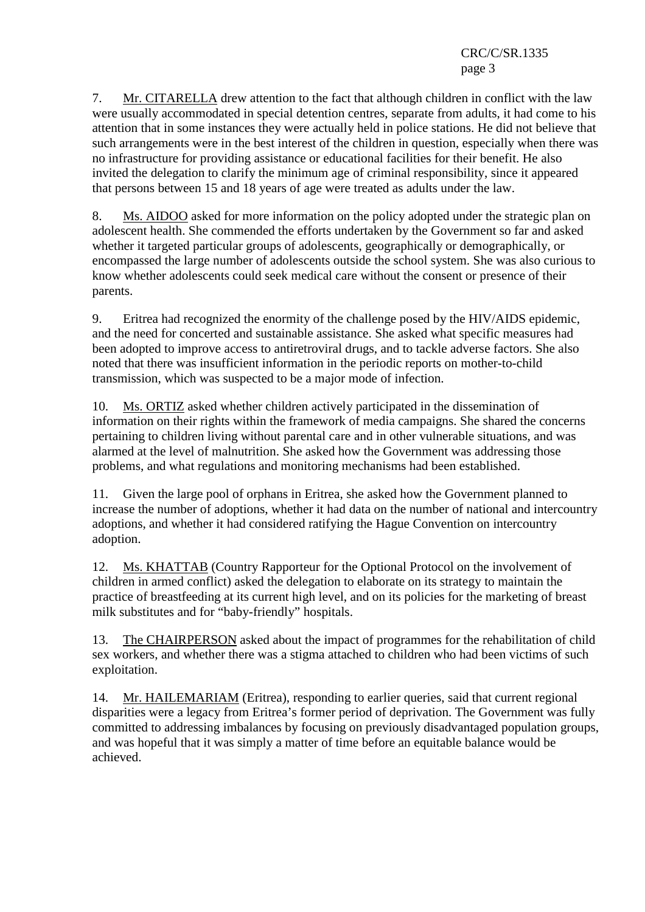7. Mr. CITARELLA drew attention to the fact that although children in conflict with the law were usually accommodated in special detention centres, separate from adults, it had come to his attention that in some instances they were actually held in police stations. He did not believe that such arrangements were in the best interest of the children in question, especially when there was no infrastructure for providing assistance or educational facilities for their benefit. He also invited the delegation to clarify the minimum age of criminal responsibility, since it appeared that persons between 15 and 18 years of age were treated as adults under the law.

8. Ms. AIDOO asked for more information on the policy adopted under the strategic plan on adolescent health. She commended the efforts undertaken by the Government so far and asked whether it targeted particular groups of adolescents, geographically or demographically, or encompassed the large number of adolescents outside the school system. She was also curious to know whether adolescents could seek medical care without the consent or presence of their parents.

9. Eritrea had recognized the enormity of the challenge posed by the HIV/AIDS epidemic, and the need for concerted and sustainable assistance. She asked what specific measures had been adopted to improve access to antiretroviral drugs, and to tackle adverse factors. She also noted that there was insufficient information in the periodic reports on mother-to-child transmission, which was suspected to be a major mode of infection.

10. Ms. ORTIZ asked whether children actively participated in the dissemination of information on their rights within the framework of media campaigns. She shared the concerns pertaining to children living without parental care and in other vulnerable situations, and was alarmed at the level of malnutrition. She asked how the Government was addressing those problems, and what regulations and monitoring mechanisms had been established.

11. Given the large pool of orphans in Eritrea, she asked how the Government planned to increase the number of adoptions, whether it had data on the number of national and intercountry adoptions, and whether it had considered ratifying the Hague Convention on intercountry adoption.

12. Ms. KHATTAB (Country Rapporteur for the Optional Protocol on the involvement of children in armed conflict) asked the delegation to elaborate on its strategy to maintain the practice of breastfeeding at its current high level, and on its policies for the marketing of breast milk substitutes and for "baby-friendly" hospitals.

13. The CHAIRPERSON asked about the impact of programmes for the rehabilitation of child sex workers, and whether there was a stigma attached to children who had been victims of such exploitation.

14. Mr. HAILEMARIAM (Eritrea), responding to earlier queries, said that current regional disparities were a legacy from Eritrea's former period of deprivation. The Government was fully committed to addressing imbalances by focusing on previously disadvantaged population groups, and was hopeful that it was simply a matter of time before an equitable balance would be achieved.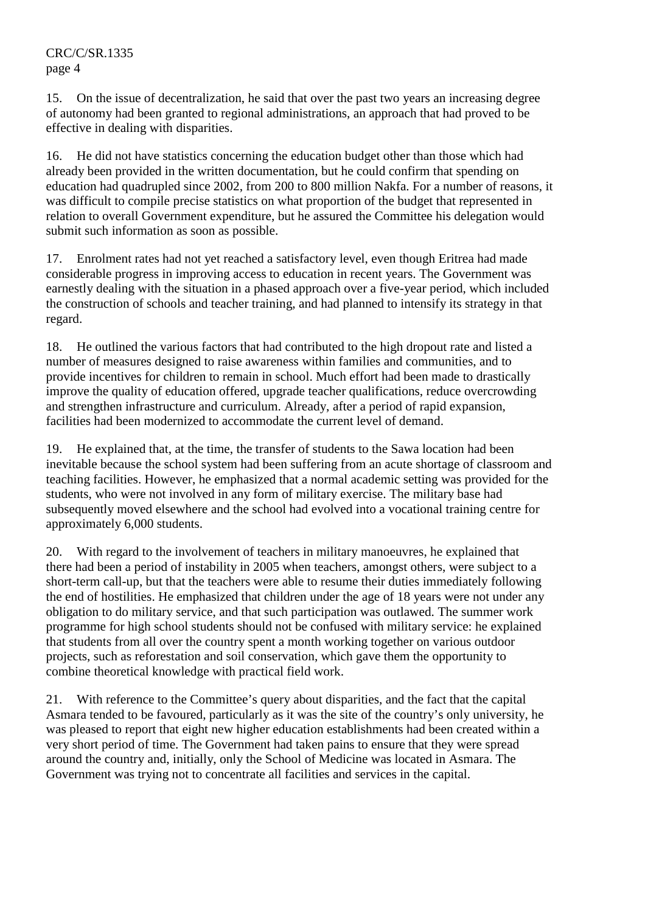15. On the issue of decentralization, he said that over the past two years an increasing degree of autonomy had been granted to regional administrations, an approach that had proved to be effective in dealing with disparities.

16. He did not have statistics concerning the education budget other than those which had already been provided in the written documentation, but he could confirm that spending on education had quadrupled since 2002, from 200 to 800 million Nakfa. For a number of reasons, it was difficult to compile precise statistics on what proportion of the budget that represented in relation to overall Government expenditure, but he assured the Committee his delegation would submit such information as soon as possible.

17. Enrolment rates had not yet reached a satisfactory level, even though Eritrea had made considerable progress in improving access to education in recent years. The Government was earnestly dealing with the situation in a phased approach over a five-year period, which included the construction of schools and teacher training, and had planned to intensify its strategy in that regard.

18. He outlined the various factors that had contributed to the high dropout rate and listed a number of measures designed to raise awareness within families and communities, and to provide incentives for children to remain in school. Much effort had been made to drastically improve the quality of education offered, upgrade teacher qualifications, reduce overcrowding and strengthen infrastructure and curriculum. Already, after a period of rapid expansion, facilities had been modernized to accommodate the current level of demand.

19. He explained that, at the time, the transfer of students to the Sawa location had been inevitable because the school system had been suffering from an acute shortage of classroom and teaching facilities. However, he emphasized that a normal academic setting was provided for the students, who were not involved in any form of military exercise. The military base had subsequently moved elsewhere and the school had evolved into a vocational training centre for approximately 6,000 students.

20. With regard to the involvement of teachers in military manoeuvres, he explained that there had been a period of instability in 2005 when teachers, amongst others, were subject to a short-term call-up, but that the teachers were able to resume their duties immediately following the end of hostilities. He emphasized that children under the age of 18 years were not under any obligation to do military service, and that such participation was outlawed. The summer work programme for high school students should not be confused with military service: he explained that students from all over the country spent a month working together on various outdoor projects, such as reforestation and soil conservation, which gave them the opportunity to combine theoretical knowledge with practical field work.

21. With reference to the Committee's query about disparities, and the fact that the capital Asmara tended to be favoured, particularly as it was the site of the country's only university, he was pleased to report that eight new higher education establishments had been created within a very short period of time. The Government had taken pains to ensure that they were spread around the country and, initially, only the School of Medicine was located in Asmara. The Government was trying not to concentrate all facilities and services in the capital.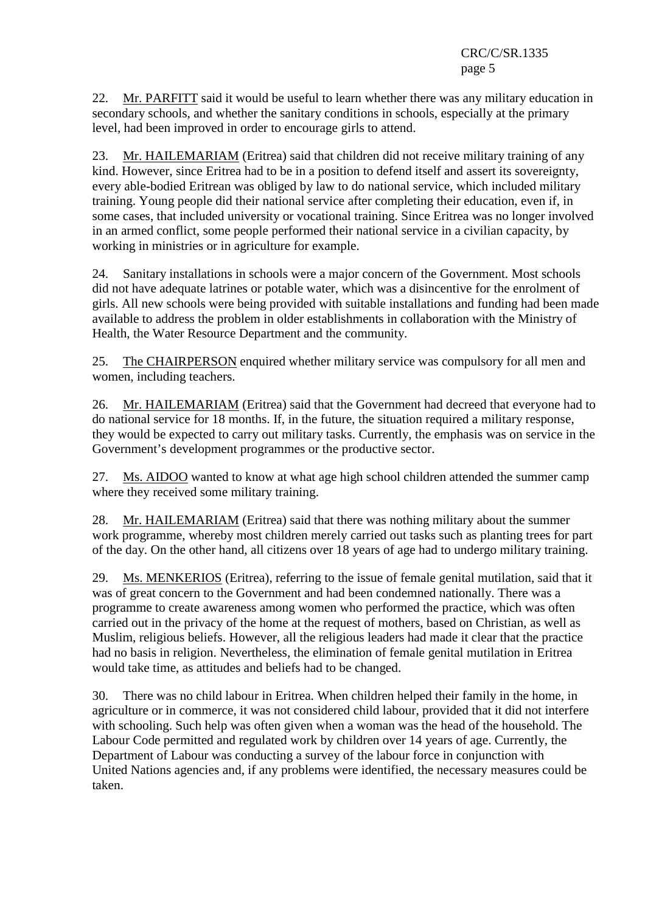22. Mr. PARFITT said it would be useful to learn whether there was any military education in secondary schools, and whether the sanitary conditions in schools, especially at the primary level, had been improved in order to encourage girls to attend.

23. Mr. HAILEMARIAM (Eritrea) said that children did not receive military training of any kind. However, since Eritrea had to be in a position to defend itself and assert its sovereignty, every able-bodied Eritrean was obliged by law to do national service, which included military training. Young people did their national service after completing their education, even if, in some cases, that included university or vocational training. Since Eritrea was no longer involved in an armed conflict, some people performed their national service in a civilian capacity, by working in ministries or in agriculture for example.

24. Sanitary installations in schools were a major concern of the Government. Most schools did not have adequate latrines or potable water, which was a disincentive for the enrolment of girls. All new schools were being provided with suitable installations and funding had been made available to address the problem in older establishments in collaboration with the Ministry of Health, the Water Resource Department and the community.

25. The CHAIRPERSON enquired whether military service was compulsory for all men and women, including teachers.

26. Mr. HAILEMARIAM (Eritrea) said that the Government had decreed that everyone had to do national service for 18 months. If, in the future, the situation required a military response, they would be expected to carry out military tasks. Currently, the emphasis was on service in the Government's development programmes or the productive sector.

27. Ms. AIDOO wanted to know at what age high school children attended the summer camp where they received some military training.

28. Mr. HAILEMARIAM (Eritrea) said that there was nothing military about the summer work programme, whereby most children merely carried out tasks such as planting trees for part of the day. On the other hand, all citizens over 18 years of age had to undergo military training.

29. Ms. MENKERIOS (Eritrea), referring to the issue of female genital mutilation, said that it was of great concern to the Government and had been condemned nationally. There was a programme to create awareness among women who performed the practice, which was often carried out in the privacy of the home at the request of mothers, based on Christian, as well as Muslim, religious beliefs. However, all the religious leaders had made it clear that the practice had no basis in religion. Nevertheless, the elimination of female genital mutilation in Eritrea would take time, as attitudes and beliefs had to be changed.

30. There was no child labour in Eritrea. When children helped their family in the home, in agriculture or in commerce, it was not considered child labour, provided that it did not interfere with schooling. Such help was often given when a woman was the head of the household. The Labour Code permitted and regulated work by children over 14 years of age. Currently, the Department of Labour was conducting a survey of the labour force in conjunction with United Nations agencies and, if any problems were identified, the necessary measures could be taken.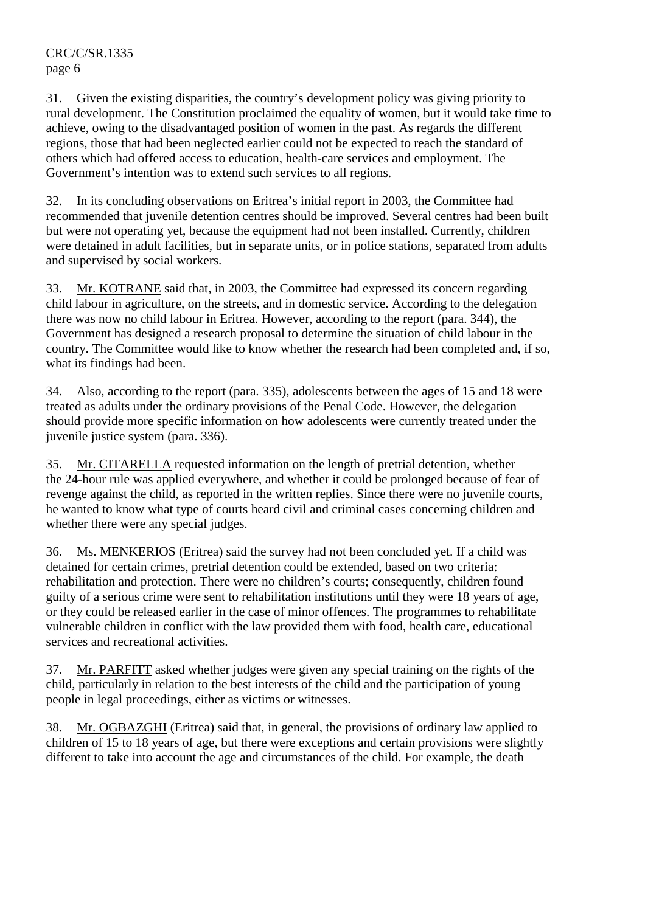31. Given the existing disparities, the country's development policy was giving priority to rural development. The Constitution proclaimed the equality of women, but it would take time to achieve, owing to the disadvantaged position of women in the past. As regards the different regions, those that had been neglected earlier could not be expected to reach the standard of others which had offered access to education, health-care services and employment. The Government's intention was to extend such services to all regions.

32. In its concluding observations on Eritrea's initial report in 2003, the Committee had recommended that juvenile detention centres should be improved. Several centres had been built but were not operating yet, because the equipment had not been installed. Currently, children were detained in adult facilities, but in separate units, or in police stations, separated from adults and supervised by social workers.

33. Mr. KOTRANE said that, in 2003, the Committee had expressed its concern regarding child labour in agriculture, on the streets, and in domestic service. According to the delegation there was now no child labour in Eritrea. However, according to the report (para. 344), the Government has designed a research proposal to determine the situation of child labour in the country. The Committee would like to know whether the research had been completed and, if so, what its findings had been.

34. Also, according to the report (para. 335), adolescents between the ages of 15 and 18 were treated as adults under the ordinary provisions of the Penal Code. However, the delegation should provide more specific information on how adolescents were currently treated under the juvenile justice system (para. 336).

35. Mr. CITARELLA requested information on the length of pretrial detention, whether the 24-hour rule was applied everywhere, and whether it could be prolonged because of fear of revenge against the child, as reported in the written replies. Since there were no juvenile courts, he wanted to know what type of courts heard civil and criminal cases concerning children and whether there were any special judges.

36. Ms. MENKERIOS (Eritrea) said the survey had not been concluded yet. If a child was detained for certain crimes, pretrial detention could be extended, based on two criteria: rehabilitation and protection. There were no children's courts; consequently, children found guilty of a serious crime were sent to rehabilitation institutions until they were 18 years of age, or they could be released earlier in the case of minor offences. The programmes to rehabilitate vulnerable children in conflict with the law provided them with food, health care, educational services and recreational activities.

37. Mr. PARFITT asked whether judges were given any special training on the rights of the child, particularly in relation to the best interests of the child and the participation of young people in legal proceedings, either as victims or witnesses.

38. Mr. OGBAZGHI (Eritrea) said that, in general, the provisions of ordinary law applied to children of 15 to 18 years of age, but there were exceptions and certain provisions were slightly different to take into account the age and circumstances of the child. For example, the death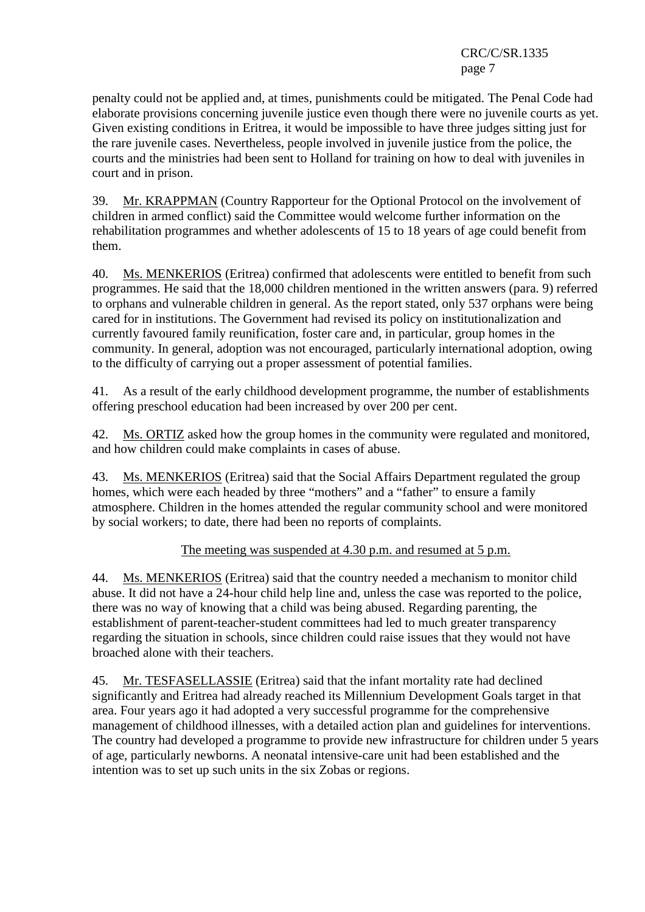penalty could not be applied and, at times, punishments could be mitigated. The Penal Code had elaborate provisions concerning juvenile justice even though there were no juvenile courts as yet. Given existing conditions in Eritrea, it would be impossible to have three judges sitting just for the rare juvenile cases. Nevertheless, people involved in juvenile justice from the police, the courts and the ministries had been sent to Holland for training on how to deal with juveniles in court and in prison.

39. Mr. KRAPPMAN (Country Rapporteur for the Optional Protocol on the involvement of children in armed conflict) said the Committee would welcome further information on the rehabilitation programmes and whether adolescents of 15 to 18 years of age could benefit from them.

40. Ms. MENKERIOS (Eritrea) confirmed that adolescents were entitled to benefit from such programmes. He said that the 18,000 children mentioned in the written answers (para. 9) referred to orphans and vulnerable children in general. As the report stated, only 537 orphans were being cared for in institutions. The Government had revised its policy on institutionalization and currently favoured family reunification, foster care and, in particular, group homes in the community. In general, adoption was not encouraged, particularly international adoption, owing to the difficulty of carrying out a proper assessment of potential families.

41. As a result of the early childhood development programme, the number of establishments offering preschool education had been increased by over 200 per cent.

42. Ms. ORTIZ asked how the group homes in the community were regulated and monitored, and how children could make complaints in cases of abuse.

43. Ms. MENKERIOS (Eritrea) said that the Social Affairs Department regulated the group homes, which were each headed by three "mothers" and a "father" to ensure a family atmosphere. Children in the homes attended the regular community school and were monitored by social workers; to date, there had been no reports of complaints.

## The meeting was suspended at 4.30 p.m. and resumed at 5 p.m.

44. Ms. MENKERIOS (Eritrea) said that the country needed a mechanism to monitor child abuse. It did not have a 24-hour child help line and, unless the case was reported to the police, there was no way of knowing that a child was being abused. Regarding parenting, the establishment of parent-teacher-student committees had led to much greater transparency regarding the situation in schools, since children could raise issues that they would not have broached alone with their teachers.

45. Mr. TESFASELLASSIE (Eritrea) said that the infant mortality rate had declined significantly and Eritrea had already reached its Millennium Development Goals target in that area. Four years ago it had adopted a very successful programme for the comprehensive management of childhood illnesses, with a detailed action plan and guidelines for interventions. The country had developed a programme to provide new infrastructure for children under 5 years of age, particularly newborns. A neonatal intensive-care unit had been established and the intention was to set up such units in the six Zobas or regions.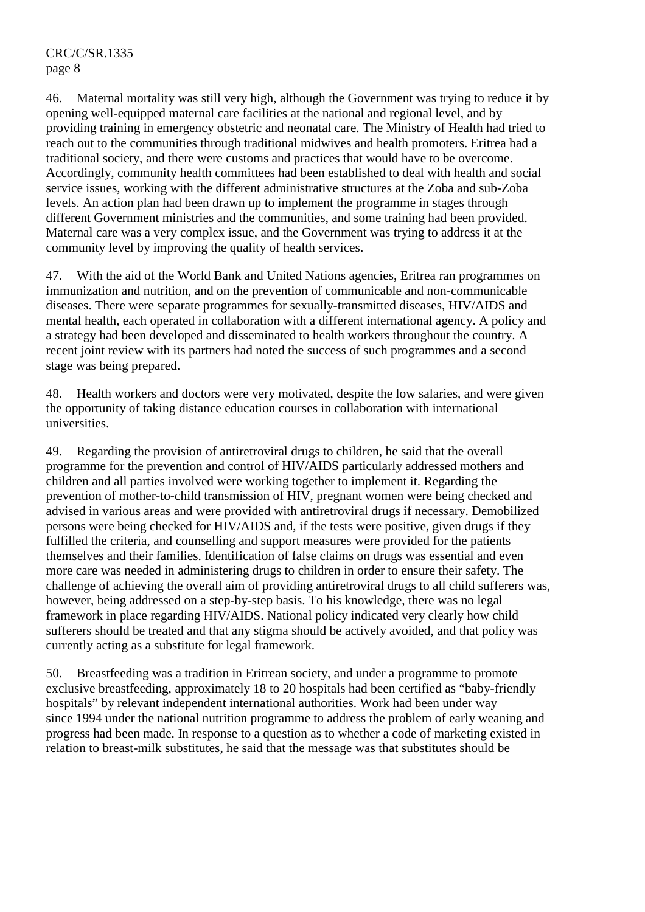46. Maternal mortality was still very high, although the Government was trying to reduce it by opening well-equipped maternal care facilities at the national and regional level, and by providing training in emergency obstetric and neonatal care. The Ministry of Health had tried to reach out to the communities through traditional midwives and health promoters. Eritrea had a traditional society, and there were customs and practices that would have to be overcome. Accordingly, community health committees had been established to deal with health and social service issues, working with the different administrative structures at the Zoba and sub-Zoba levels. An action plan had been drawn up to implement the programme in stages through different Government ministries and the communities, and some training had been provided. Maternal care was a very complex issue, and the Government was trying to address it at the community level by improving the quality of health services.

47. With the aid of the World Bank and United Nations agencies, Eritrea ran programmes on immunization and nutrition, and on the prevention of communicable and non-communicable diseases. There were separate programmes for sexually-transmitted diseases, HIV/AIDS and mental health, each operated in collaboration with a different international agency. A policy and a strategy had been developed and disseminated to health workers throughout the country. A recent joint review with its partners had noted the success of such programmes and a second stage was being prepared.

48. Health workers and doctors were very motivated, despite the low salaries, and were given the opportunity of taking distance education courses in collaboration with international universities.

49. Regarding the provision of antiretroviral drugs to children, he said that the overall programme for the prevention and control of HIV/AIDS particularly addressed mothers and children and all parties involved were working together to implement it. Regarding the prevention of mother-to-child transmission of HIV, pregnant women were being checked and advised in various areas and were provided with antiretroviral drugs if necessary. Demobilized persons were being checked for HIV/AIDS and, if the tests were positive, given drugs if they fulfilled the criteria, and counselling and support measures were provided for the patients themselves and their families. Identification of false claims on drugs was essential and even more care was needed in administering drugs to children in order to ensure their safety. The challenge of achieving the overall aim of providing antiretroviral drugs to all child sufferers was, however, being addressed on a step-by-step basis. To his knowledge, there was no legal framework in place regarding HIV/AIDS. National policy indicated very clearly how child sufferers should be treated and that any stigma should be actively avoided, and that policy was currently acting as a substitute for legal framework.

50. Breastfeeding was a tradition in Eritrean society, and under a programme to promote exclusive breastfeeding, approximately 18 to 20 hospitals had been certified as "baby-friendly hospitals" by relevant independent international authorities. Work had been under way since 1994 under the national nutrition programme to address the problem of early weaning and progress had been made. In response to a question as to whether a code of marketing existed in relation to breast-milk substitutes, he said that the message was that substitutes should be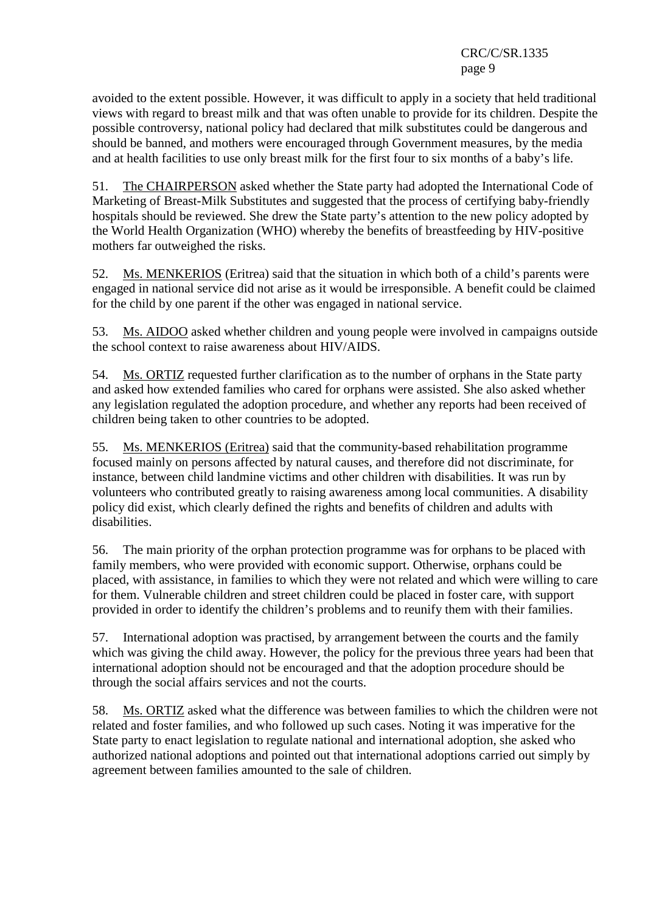avoided to the extent possible. However, it was difficult to apply in a society that held traditional views with regard to breast milk and that was often unable to provide for its children. Despite the possible controversy, national policy had declared that milk substitutes could be dangerous and should be banned, and mothers were encouraged through Government measures, by the media and at health facilities to use only breast milk for the first four to six months of a baby's life.

51. The CHAIRPERSON asked whether the State party had adopted the International Code of Marketing of Breast-Milk Substitutes and suggested that the process of certifying baby-friendly hospitals should be reviewed. She drew the State party's attention to the new policy adopted by the World Health Organization (WHO) whereby the benefits of breastfeeding by HIV-positive mothers far outweighed the risks.

52. Ms. MENKERIOS (Eritrea) said that the situation in which both of a child's parents were engaged in national service did not arise as it would be irresponsible. A benefit could be claimed for the child by one parent if the other was engaged in national service.

53. Ms. AIDOO asked whether children and young people were involved in campaigns outside the school context to raise awareness about HIV/AIDS.

54. Ms. ORTIZ requested further clarification as to the number of orphans in the State party and asked how extended families who cared for orphans were assisted. She also asked whether any legislation regulated the adoption procedure, and whether any reports had been received of children being taken to other countries to be adopted.

55. Ms. MENKERIOS (Eritrea) said that the community-based rehabilitation programme focused mainly on persons affected by natural causes, and therefore did not discriminate, for instance, between child landmine victims and other children with disabilities. It was run by volunteers who contributed greatly to raising awareness among local communities. A disability policy did exist, which clearly defined the rights and benefits of children and adults with disabilities.

56. The main priority of the orphan protection programme was for orphans to be placed with family members, who were provided with economic support. Otherwise, orphans could be placed, with assistance, in families to which they were not related and which were willing to care for them. Vulnerable children and street children could be placed in foster care, with support provided in order to identify the children's problems and to reunify them with their families.

57. International adoption was practised, by arrangement between the courts and the family which was giving the child away. However, the policy for the previous three years had been that international adoption should not be encouraged and that the adoption procedure should be through the social affairs services and not the courts.

58. Ms. ORTIZ asked what the difference was between families to which the children were not related and foster families, and who followed up such cases. Noting it was imperative for the State party to enact legislation to regulate national and international adoption, she asked who authorized national adoptions and pointed out that international adoptions carried out simply by agreement between families amounted to the sale of children.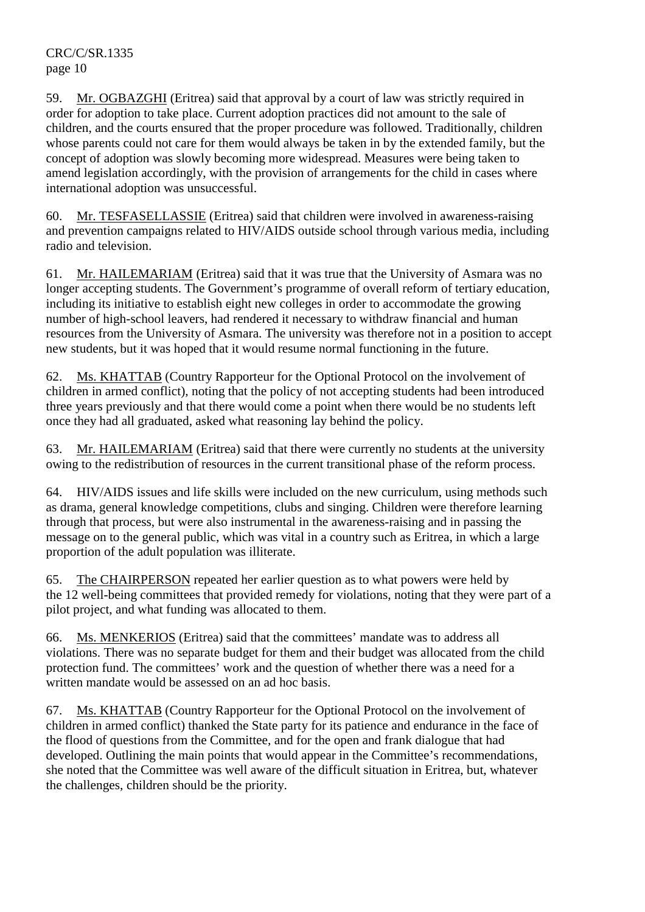59. Mr. OGBAZGHI (Eritrea) said that approval by a court of law was strictly required in order for adoption to take place. Current adoption practices did not amount to the sale of children, and the courts ensured that the proper procedure was followed. Traditionally, children whose parents could not care for them would always be taken in by the extended family, but the concept of adoption was slowly becoming more widespread. Measures were being taken to amend legislation accordingly, with the provision of arrangements for the child in cases where international adoption was unsuccessful.

60. Mr. TESFASELLASSIE (Eritrea) said that children were involved in awareness-raising and prevention campaigns related to HIV/AIDS outside school through various media, including radio and television.

61. Mr. HAILEMARIAM (Eritrea) said that it was true that the University of Asmara was no longer accepting students. The Government's programme of overall reform of tertiary education, including its initiative to establish eight new colleges in order to accommodate the growing number of high-school leavers, had rendered it necessary to withdraw financial and human resources from the University of Asmara. The university was therefore not in a position to accept new students, but it was hoped that it would resume normal functioning in the future.

62. Ms. KHATTAB (Country Rapporteur for the Optional Protocol on the involvement of children in armed conflict), noting that the policy of not accepting students had been introduced three years previously and that there would come a point when there would be no students left once they had all graduated, asked what reasoning lay behind the policy.

63. Mr. HAILEMARIAM (Eritrea) said that there were currently no students at the university owing to the redistribution of resources in the current transitional phase of the reform process.

64. HIV/AIDS issues and life skills were included on the new curriculum, using methods such as drama, general knowledge competitions, clubs and singing. Children were therefore learning through that process, but were also instrumental in the awareness-raising and in passing the message on to the general public, which was vital in a country such as Eritrea, in which a large proportion of the adult population was illiterate.

65. The CHAIRPERSON repeated her earlier question as to what powers were held by the 12 well-being committees that provided remedy for violations, noting that they were part of a pilot project, and what funding was allocated to them.

66. Ms. MENKERIOS (Eritrea) said that the committees' mandate was to address all violations. There was no separate budget for them and their budget was allocated from the child protection fund. The committees' work and the question of whether there was a need for a written mandate would be assessed on an ad hoc basis.

67. Ms. KHATTAB (Country Rapporteur for the Optional Protocol on the involvement of children in armed conflict) thanked the State party for its patience and endurance in the face of the flood of questions from the Committee, and for the open and frank dialogue that had developed. Outlining the main points that would appear in the Committee's recommendations, she noted that the Committee was well aware of the difficult situation in Eritrea, but, whatever the challenges, children should be the priority.